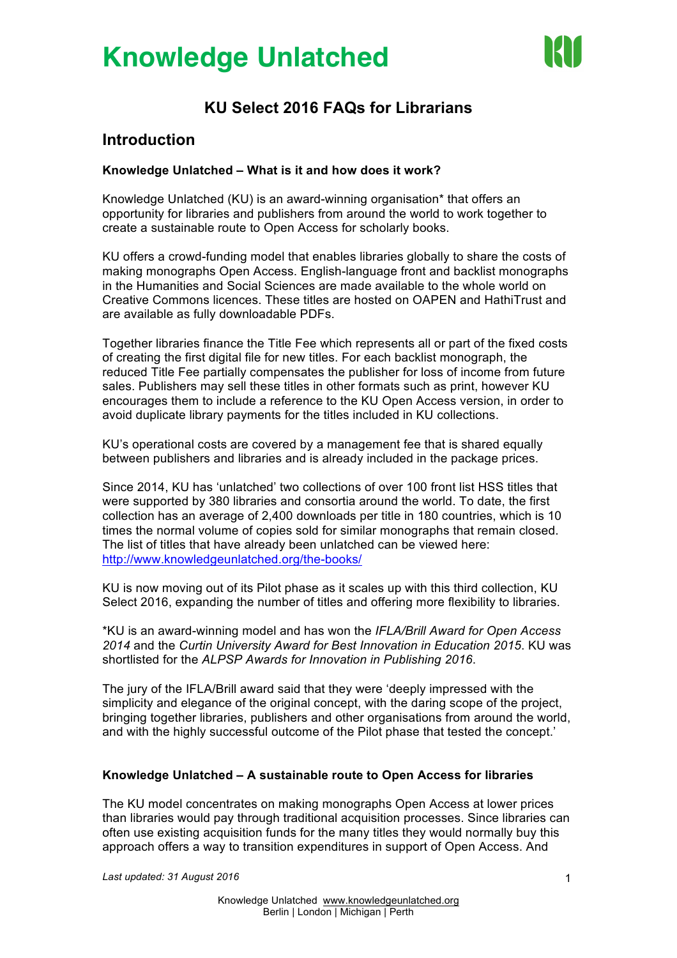

## **KU Select 2016 FAQs for Librarians**

### **Introduction**

#### **Knowledge Unlatched – What is it and how does it work?**

Knowledge Unlatched (KU) is an award-winning organisation\* that offers an opportunity for libraries and publishers from around the world to work together to create a sustainable route to Open Access for scholarly books.

KU offers a crowd-funding model that enables libraries globally to share the costs of making monographs Open Access. English-language front and backlist monographs in the Humanities and Social Sciences are made available to the whole world on Creative Commons licences. These titles are hosted on OAPEN and HathiTrust and are available as fully downloadable PDFs.

Together libraries finance the Title Fee which represents all or part of the fixed costs of creating the first digital file for new titles. For each backlist monograph, the reduced Title Fee partially compensates the publisher for loss of income from future sales. Publishers may sell these titles in other formats such as print, however KU encourages them to include a reference to the KU Open Access version, in order to avoid duplicate library payments for the titles included in KU collections.

KU's operational costs are covered by a management fee that is shared equally between publishers and libraries and is already included in the package prices.

Since 2014, KU has 'unlatched' two collections of over 100 front list HSS titles that were supported by 380 libraries and consortia around the world. To date, the first collection has an average of 2,400 downloads per title in 180 countries, which is 10 times the normal volume of copies sold for similar monographs that remain closed. The list of titles that have already been unlatched can be viewed here: http://www.knowledgeunlatched.org/the-books/

KU is now moving out of its Pilot phase as it scales up with this third collection, KU Select 2016, expanding the number of titles and offering more flexibility to libraries.

\*KU is an award-winning model and has won the *IFLA/Brill Award for Open Access 2014* and the *Curtin University Award for Best Innovation in Education 2015*. KU was shortlisted for the *ALPSP Awards for Innovation in Publishing 2016*.

The jury of the IFLA/Brill award said that they were 'deeply impressed with the simplicity and elegance of the original concept, with the daring scope of the project, bringing together libraries, publishers and other organisations from around the world, and with the highly successful outcome of the Pilot phase that tested the concept.'

#### **Knowledge Unlatched – A sustainable route to Open Access for libraries**

The KU model concentrates on making monographs Open Access at lower prices than libraries would pay through traditional acquisition processes. Since libraries can often use existing acquisition funds for the many titles they would normally buy this approach offers a way to transition expenditures in support of Open Access. And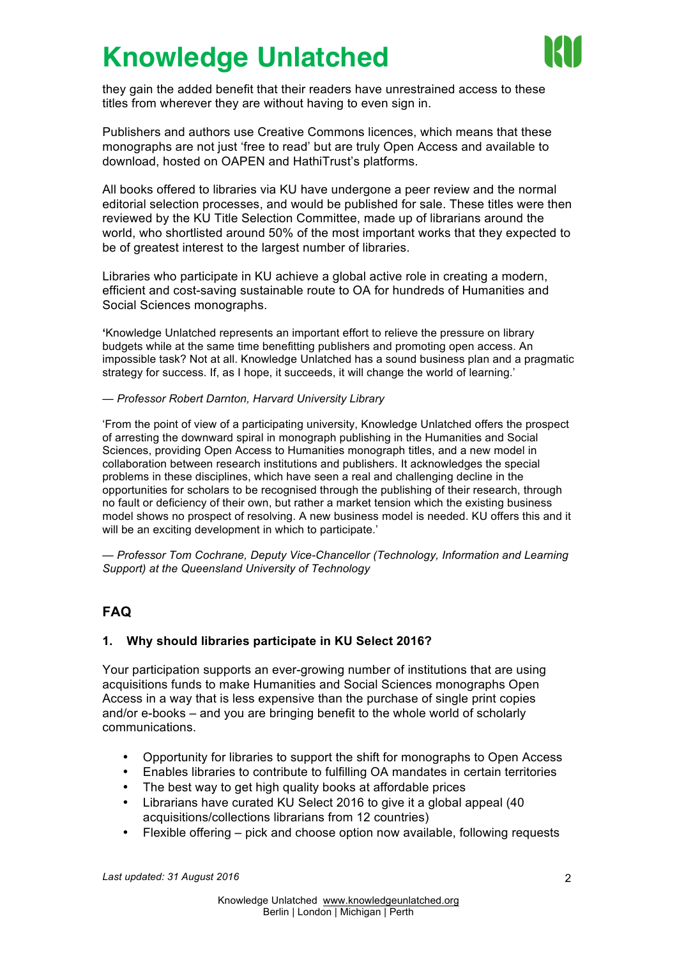

they gain the added benefit that their readers have unrestrained access to these titles from wherever they are without having to even sign in.

Publishers and authors use Creative Commons licences, which means that these monographs are not just 'free to read' but are truly Open Access and available to download, hosted on OAPEN and HathiTrust's platforms.

All books offered to libraries via KU have undergone a peer review and the normal editorial selection processes, and would be published for sale. These titles were then reviewed by the KU Title Selection Committee, made up of librarians around the world, who shortlisted around 50% of the most important works that they expected to be of greatest interest to the largest number of libraries.

Libraries who participate in KU achieve a global active role in creating a modern, efficient and cost-saving sustainable route to OA for hundreds of Humanities and Social Sciences monographs.

**'**Knowledge Unlatched represents an important effort to relieve the pressure on library budgets while at the same time benefitting publishers and promoting open access. An impossible task? Not at all. Knowledge Unlatched has a sound business plan and a pragmatic strategy for success. If, as I hope, it succeeds, it will change the world of learning.'

*— Professor Robert Darnton, Harvard University Library*

'From the point of view of a participating university, Knowledge Unlatched offers the prospect of arresting the downward spiral in monograph publishing in the Humanities and Social Sciences, providing Open Access to Humanities monograph titles, and a new model in collaboration between research institutions and publishers. It acknowledges the special problems in these disciplines, which have seen a real and challenging decline in the opportunities for scholars to be recognised through the publishing of their research, through no fault or deficiency of their own, but rather a market tension which the existing business model shows no prospect of resolving. A new business model is needed. KU offers this and it will be an exciting development in which to participate.'

*— Professor Tom Cochrane, Deputy Vice-Chancellor (Technology, Information and Learning Support) at the Queensland University of Technology*

### **FAQ**

### **1. Why should libraries participate in KU Select 2016?**

Your participation supports an ever-growing number of institutions that are using acquisitions funds to make Humanities and Social Sciences monographs Open Access in a way that is less expensive than the purchase of single print copies and/or e-books – and you are bringing benefit to the whole world of scholarly communications.

- Opportunity for libraries to support the shift for monographs to Open Access
- Enables libraries to contribute to fulfilling OA mandates in certain territories
- The best way to get high quality books at affordable prices
- Librarians have curated KU Select 2016 to give it a global appeal (40 acquisitions/collections librarians from 12 countries)
- Flexible offering pick and choose option now available, following requests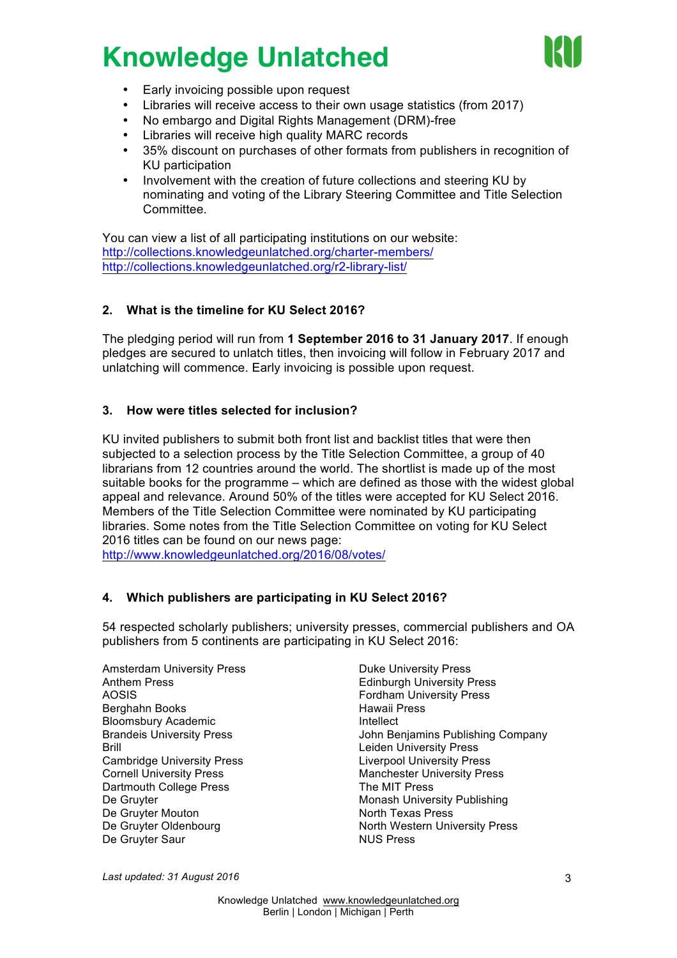

- Early invoicing possible upon request
- Libraries will receive access to their own usage statistics (from 2017)
- No embargo and Digital Rights Management (DRM)-free
- Libraries will receive high quality MARC records
- 35% discount on purchases of other formats from publishers in recognition of KU participation
- Involvement with the creation of future collections and steering KU by nominating and voting of the Library Steering Committee and Title Selection Committee.

You can view a list of all participating institutions on our website: http://collections.knowledgeunlatched.org/charter-members/ http://collections.knowledgeunlatched.org/r2-library-list/

#### **2. What is the timeline for KU Select 2016?**

The pledging period will run from **1 September 2016 to 31 January 2017**. If enough pledges are secured to unlatch titles, then invoicing will follow in February 2017 and unlatching will commence. Early invoicing is possible upon request.

#### **3. How were titles selected for inclusion?**

KU invited publishers to submit both front list and backlist titles that were then subjected to a selection process by the Title Selection Committee, a group of 40 librarians from 12 countries around the world. The shortlist is made up of the most suitable books for the programme – which are defined as those with the widest global appeal and relevance. Around 50% of the titles were accepted for KU Select 2016. Members of the Title Selection Committee were nominated by KU participating libraries. Some notes from the Title Selection Committee on voting for KU Select 2016 titles can be found on our news page:

http://www.knowledgeunlatched.org/2016/08/votes/

#### **4. Which publishers are participating in KU Select 2016?**

54 respected scholarly publishers; university presses, commercial publishers and OA publishers from 5 continents are participating in KU Select 2016:

Amsterdam University Press Anthem Press AOSIS Berghahn Books Bloomsbury Academic Brandeis University Press Brill Cambridge University Press Cornell University Press Dartmouth College Press De Gruyter De Gruyter Mouton De Gruyter Oldenbourg De Gruyter Saur

Duke University Press Edinburgh University Press Fordham University Press Hawaii Press **Intellect** John Benjamins Publishing Company Leiden University Press Liverpool University Press Manchester University Press The MIT Press Monash University Publishing North Texas Press North Western University Press NUS Press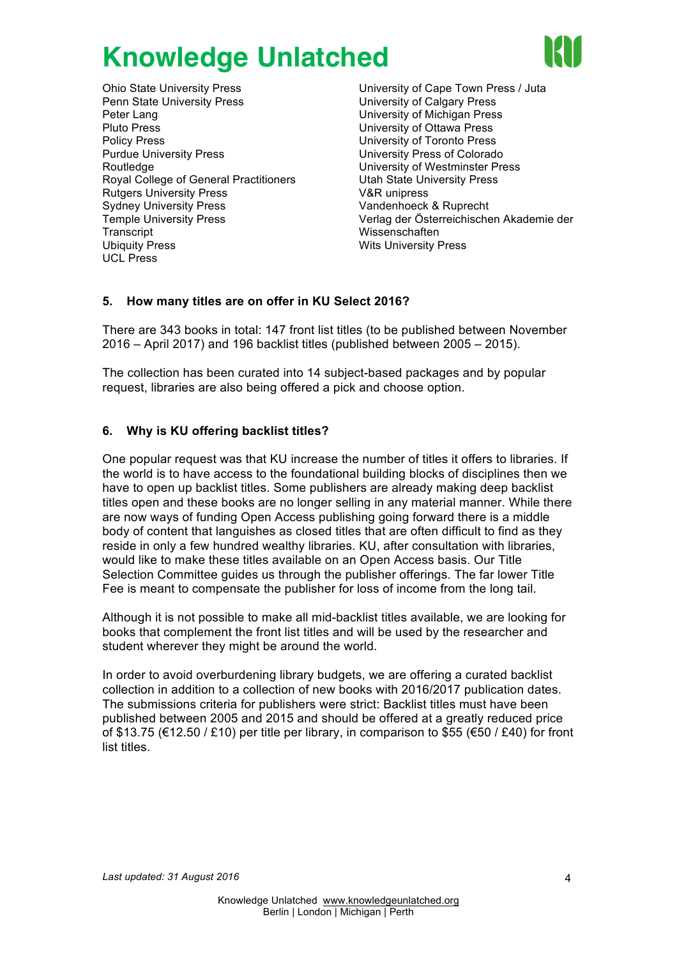

Ohio State University Press Penn State University Press Peter Lang Pluto Press Policy Press Purdue University Press Routledge Royal College of General Practitioners Rutgers University Press Sydney University Press Temple University Press **Transcript** Ubiquity Press UCL Press

University of Cape Town Press / Juta University of Calgary Press University of Michigan Press University of Ottawa Press University of Toronto Press University Press of Colorado University of Westminster Press Utah State University Press V&R unipress Vandenhoeck & Ruprecht Verlag der Österreichischen Akademie der Wissenschaften Wits University Press

### **5. How many titles are on offer in KU Select 2016?**

There are 343 books in total: 147 front list titles (to be published between November 2016 – April 2017) and 196 backlist titles (published between 2005 – 2015).

The collection has been curated into 14 subject-based packages and by popular request, libraries are also being offered a pick and choose option.

### **6. Why is KU offering backlist titles?**

One popular request was that KU increase the number of titles it offers to libraries. If the world is to have access to the foundational building blocks of disciplines then we have to open up backlist titles. Some publishers are already making deep backlist titles open and these books are no longer selling in any material manner. While there are now ways of funding Open Access publishing going forward there is a middle body of content that languishes as closed titles that are often difficult to find as they reside in only a few hundred wealthy libraries. KU, after consultation with libraries, would like to make these titles available on an Open Access basis. Our Title Selection Committee guides us through the publisher offerings. The far lower Title Fee is meant to compensate the publisher for loss of income from the long tail.

Although it is not possible to make all mid-backlist titles available, we are looking for books that complement the front list titles and will be used by the researcher and student wherever they might be around the world.

In order to avoid overburdening library budgets, we are offering a curated backlist collection in addition to a collection of new books with 2016/2017 publication dates. The submissions criteria for publishers were strict: Backlist titles must have been published between 2005 and 2015 and should be offered at a greatly reduced price of \$13.75 ( $\in$ 12.50 / £10) per title per library, in comparison to \$55 ( $\in$ 50 / £40) for front list titles.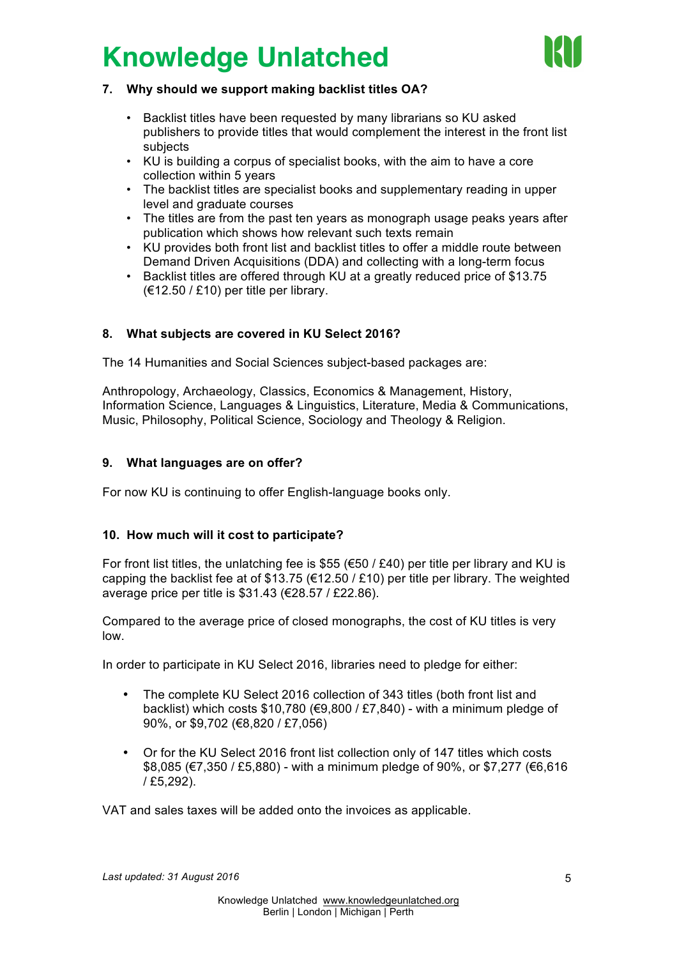

#### **7. Why should we support making backlist titles OA?**

- Backlist titles have been requested by many librarians so KU asked publishers to provide titles that would complement the interest in the front list subjects
- KU is building a corpus of specialist books, with the aim to have a core collection within 5 years
- The backlist titles are specialist books and supplementary reading in upper level and graduate courses
- The titles are from the past ten years as monograph usage peaks years after publication which shows how relevant such texts remain
- KU provides both front list and backlist titles to offer a middle route between Demand Driven Acquisitions (DDA) and collecting with a long-term focus
- Backlist titles are offered through KU at a greatly reduced price of \$13.75  $(€12.50 / £10)$  per title per library.

### **8. What subjects are covered in KU Select 2016?**

The 14 Humanities and Social Sciences subject-based packages are:

Anthropology, Archaeology, Classics, Economics & Management, History, Information Science, Languages & Linguistics, Literature, Media & Communications, Music, Philosophy, Political Science, Sociology and Theology & Religion.

#### **9. What languages are on offer?**

For now KU is continuing to offer English-language books only.

#### **10. How much will it cost to participate?**

For front list titles, the unlatching fee is \$55 ( $€50 / £40$ ) per title per library and KU is capping the backlist fee at of \$13.75 (€12.50 / £10) per title per library. The weighted average price per title is \$31.43 (€28.57 / £22.86).

Compared to the average price of closed monographs, the cost of KU titles is very low.

In order to participate in KU Select 2016, libraries need to pledge for either:

- The complete KU Select 2016 collection of 343 titles (both front list and backlist) which costs  $$10,780$  ( $€9,800$  / £7,840) - with a minimum pledge of 90%, or \$9,702 (€8,820 / £7,056)
- Or for the KU Select 2016 front list collection only of 147 titles which costs \$8,085 (€7,350 / £5,880) - with a minimum pledge of 90%, or \$7,277 (€6,616 / £5,292).

VAT and sales taxes will be added onto the invoices as applicable.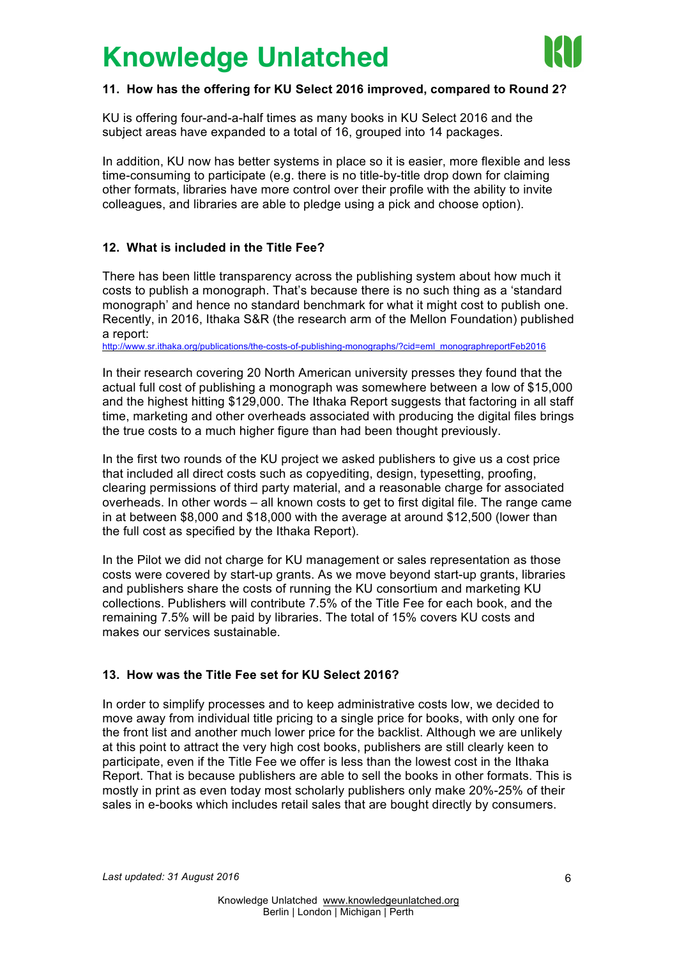

#### **11. How has the offering for KU Select 2016 improved, compared to Round 2?**

KU is offering four-and-a-half times as many books in KU Select 2016 and the subject areas have expanded to a total of 16, grouped into 14 packages.

In addition, KU now has better systems in place so it is easier, more flexible and less time-consuming to participate (e.g. there is no title-by-title drop down for claiming other formats, libraries have more control over their profile with the ability to invite colleagues, and libraries are able to pledge using a pick and choose option).

#### **12. What is included in the Title Fee?**

There has been little transparency across the publishing system about how much it costs to publish a monograph. That's because there is no such thing as a 'standard monograph' and hence no standard benchmark for what it might cost to publish one. Recently, in 2016, Ithaka S&R (the research arm of the Mellon Foundation) published a report:

http://www.sr.ithaka.org/publications/the-costs-of-publishing-monographs/?cid=eml\_monographreportFeb2016

In their research covering 20 North American university presses they found that the actual full cost of publishing a monograph was somewhere between a low of \$15,000 and the highest hitting \$129,000. The Ithaka Report suggests that factoring in all staff time, marketing and other overheads associated with producing the digital files brings the true costs to a much higher figure than had been thought previously.

In the first two rounds of the KU project we asked publishers to give us a cost price that included all direct costs such as copyediting, design, typesetting, proofing, clearing permissions of third party material, and a reasonable charge for associated overheads. In other words – all known costs to get to first digital file. The range came in at between \$8,000 and \$18,000 with the average at around \$12,500 (lower than the full cost as specified by the Ithaka Report).

In the Pilot we did not charge for KU management or sales representation as those costs were covered by start-up grants. As we move beyond start-up grants, libraries and publishers share the costs of running the KU consortium and marketing KU collections. Publishers will contribute 7.5% of the Title Fee for each book, and the remaining 7.5% will be paid by libraries. The total of 15% covers KU costs and makes our services sustainable.

#### **13. How was the Title Fee set for KU Select 2016?**

In order to simplify processes and to keep administrative costs low, we decided to move away from individual title pricing to a single price for books, with only one for the front list and another much lower price for the backlist. Although we are unlikely at this point to attract the very high cost books, publishers are still clearly keen to participate, even if the Title Fee we offer is less than the lowest cost in the Ithaka Report. That is because publishers are able to sell the books in other formats. This is mostly in print as even today most scholarly publishers only make 20%-25% of their sales in e-books which includes retail sales that are bought directly by consumers.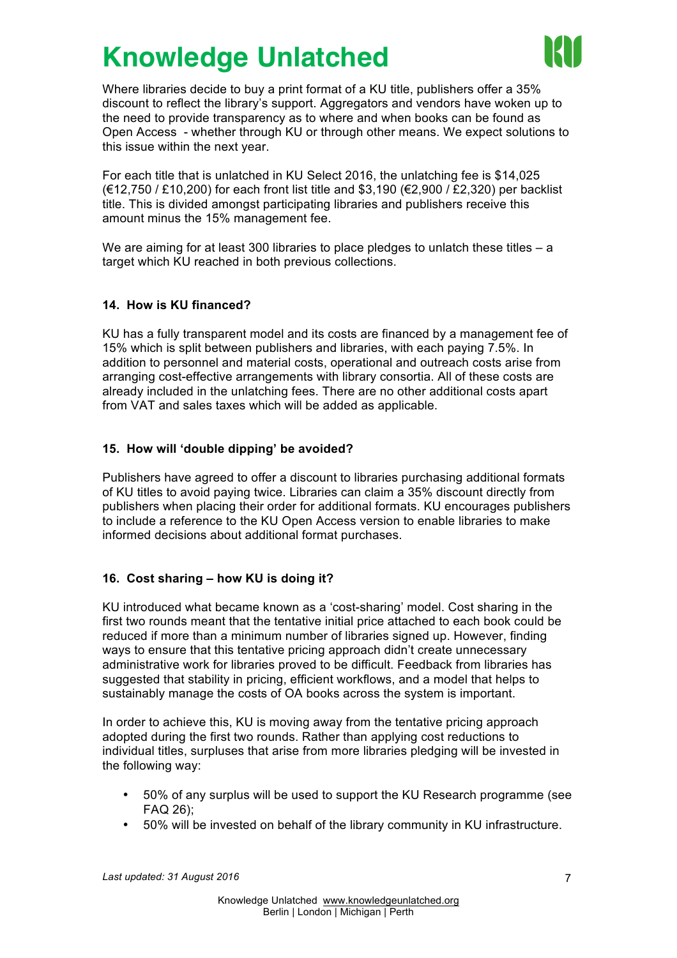

Where libraries decide to buy a print format of a KU title, publishers offer a 35% discount to reflect the library's support. Aggregators and vendors have woken up to the need to provide transparency as to where and when books can be found as Open Access - whether through KU or through other means. We expect solutions to this issue within the next year.

For each title that is unlatched in KU Select 2016, the unlatching fee is \$14,025 (€12,750 / £10,200) for each front list title and \$3,190 (€2,900 / £2,320) per backlist title. This is divided amongst participating libraries and publishers receive this amount minus the 15% management fee.

We are aiming for at least 300 libraries to place pledges to unlatch these titles  $-$  a target which KU reached in both previous collections.

#### **14. How is KU financed?**

KU has a fully transparent model and its costs are financed by a management fee of 15% which is split between publishers and libraries, with each paying 7.5%. In addition to personnel and material costs, operational and outreach costs arise from arranging cost-effective arrangements with library consortia. All of these costs are already included in the unlatching fees. There are no other additional costs apart from VAT and sales taxes which will be added as applicable.

#### **15. How will 'double dipping' be avoided?**

Publishers have agreed to offer a discount to libraries purchasing additional formats of KU titles to avoid paying twice. Libraries can claim a 35% discount directly from publishers when placing their order for additional formats. KU encourages publishers to include a reference to the KU Open Access version to enable libraries to make informed decisions about additional format purchases.

### **16. Cost sharing – how KU is doing it?**

KU introduced what became known as a 'cost-sharing' model. Cost sharing in the first two rounds meant that the tentative initial price attached to each book could be reduced if more than a minimum number of libraries signed up. However, finding ways to ensure that this tentative pricing approach didn't create unnecessary administrative work for libraries proved to be difficult. Feedback from libraries has suggested that stability in pricing, efficient workflows, and a model that helps to sustainably manage the costs of OA books across the system is important.

In order to achieve this, KU is moving away from the tentative pricing approach adopted during the first two rounds. Rather than applying cost reductions to individual titles, surpluses that arise from more libraries pledging will be invested in the following way:

- 50% of any surplus will be used to support the KU Research programme (see FAQ 26);
- 50% will be invested on behalf of the library community in KU infrastructure.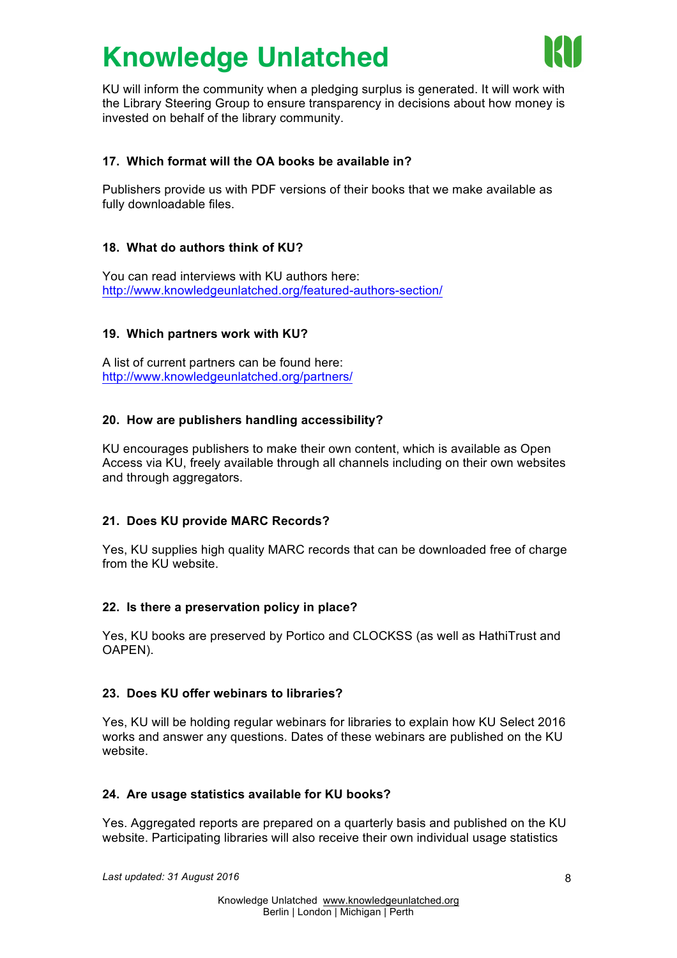

KU will inform the community when a pledging surplus is generated. It will work with the Library Steering Group to ensure transparency in decisions about how money is invested on behalf of the library community.

### **17. Which format will the OA books be available in?**

Publishers provide us with PDF versions of their books that we make available as fully downloadable files.

#### **18. What do authors think of KU?**

You can read interviews with KU authors here: http://www.knowledgeunlatched.org/featured-authors-section/

#### **19. Which partners work with KU?**

A list of current partners can be found here: http://www.knowledgeunlatched.org/partners/

#### **20. How are publishers handling accessibility?**

KU encourages publishers to make their own content, which is available as Open Access via KU, freely available through all channels including on their own websites and through aggregators.

#### **21. Does KU provide MARC Records?**

Yes, KU supplies high quality MARC records that can be downloaded free of charge from the KU website.

#### **22. Is there a preservation policy in place?**

Yes, KU books are preserved by Portico and CLOCKSS (as well as HathiTrust and OAPEN).

#### **23. Does KU offer webinars to libraries?**

Yes, KU will be holding regular webinars for libraries to explain how KU Select 2016 works and answer any questions. Dates of these webinars are published on the KU website.

#### **24. Are usage statistics available for KU books?**

Yes. Aggregated reports are prepared on a quarterly basis and published on the KU website. Participating libraries will also receive their own individual usage statistics